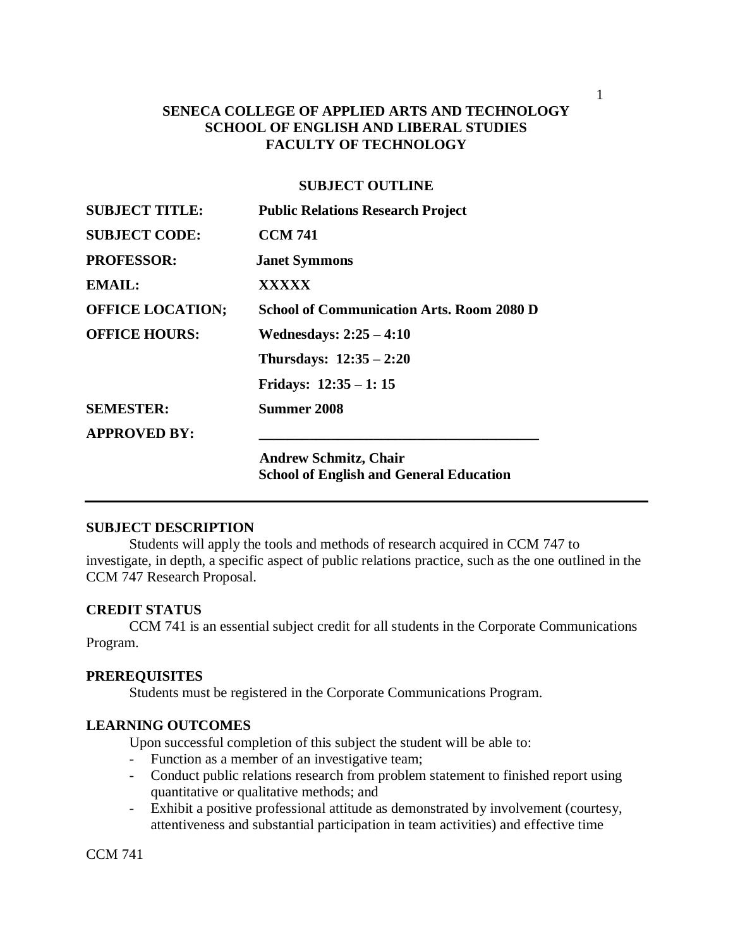## **SENECA COLLEGE OF APPLIED ARTS AND TECHNOLOGY SCHOOL OF ENGLISH AND LIBERAL STUDIES FACULTY OF TECHNOLOGY**

### **SUBJECT OUTLINE**

| <b>SUBJECT TITLE:</b>   | <b>Public Relations Research Project</b>         |
|-------------------------|--------------------------------------------------|
| <b>SUBJECT CODE:</b>    | <b>CCM 741</b>                                   |
| <b>PROFESSOR:</b>       | <b>Janet Symmons</b>                             |
| <b>EMAIL:</b>           | XXXXX                                            |
| <b>OFFICE LOCATION;</b> | <b>School of Communication Arts. Room 2080 D</b> |
| <b>OFFICE HOURS:</b>    | Wednesdays: $2:25-4:10$                          |
|                         | Thursdays: $12:35 - 2:20$                        |
|                         | Fridays: $12:35 - 1:15$                          |
| <b>SEMESTER:</b>        | Summer 2008                                      |
| <b>APPROVED BY:</b>     |                                                  |
|                         | <b>Andrew Schmitz, Chair</b>                     |
|                         | <b>School of English and General Education</b>   |

### **SUBJECT DESCRIPTION**

Students will apply the tools and methods of research acquired in CCM 747 to investigate, in depth, a specific aspect of public relations practice, such as the one outlined in the CCM 747 Research Proposal.

#### **CREDIT STATUS**

CCM 741 is an essential subject credit for all students in the Corporate Communications Program.

#### **PREREQUISITES**

Students must be registered in the Corporate Communications Program.

### **LEARNING OUTCOMES**

Upon successful completion of this subject the student will be able to:

- Function as a member of an investigative team;
- Conduct public relations research from problem statement to finished report using quantitative or qualitative methods; and
- Exhibit a positive professional attitude as demonstrated by involvement (courtesy, attentiveness and substantial participation in team activities) and effective time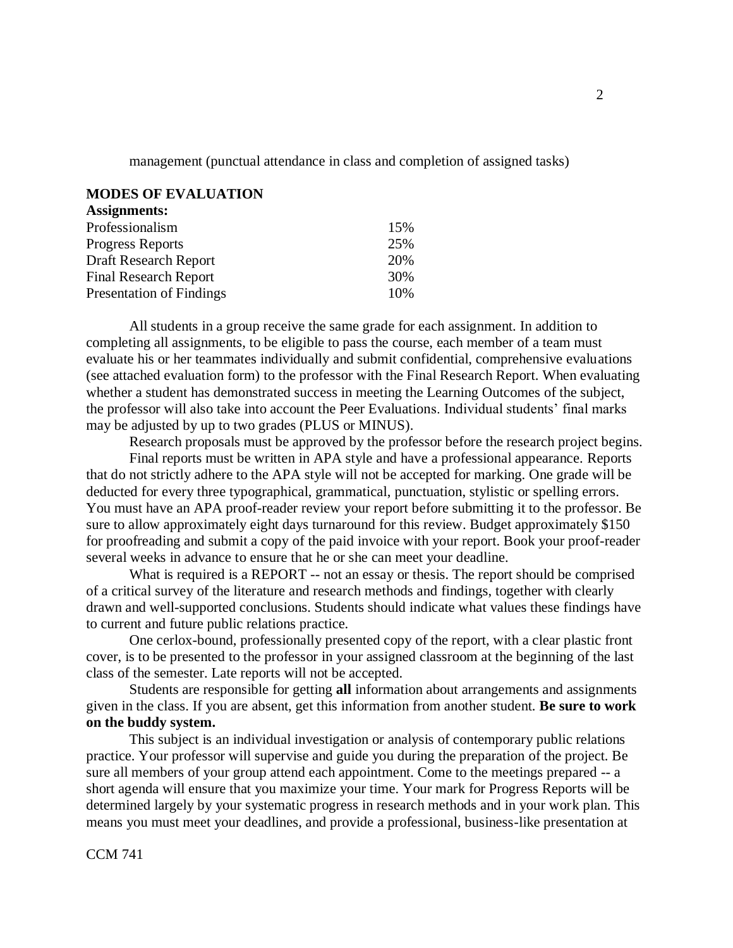management (punctual attendance in class and completion of assigned tasks)

### **MODES OF EVALUATION**

| <b>Assignments:</b>             |     |
|---------------------------------|-----|
| Professionalism                 | 15% |
| <b>Progress Reports</b>         | 25% |
| Draft Research Report           | 20% |
| <b>Final Research Report</b>    | 30% |
| <b>Presentation of Findings</b> | 10% |

All students in a group receive the same grade for each assignment. In addition to completing all assignments, to be eligible to pass the course, each member of a team must evaluate his or her teammates individually and submit confidential, comprehensive evaluations (see attached evaluation form) to the professor with the Final Research Report. When evaluating whether a student has demonstrated success in meeting the Learning Outcomes of the subject, the professor will also take into account the Peer Evaluations. Individual students' final marks may be adjusted by up to two grades (PLUS or MINUS).

Research proposals must be approved by the professor before the research project begins.

Final reports must be written in APA style and have a professional appearance. Reports that do not strictly adhere to the APA style will not be accepted for marking. One grade will be deducted for every three typographical, grammatical, punctuation, stylistic or spelling errors. You must have an APA proof-reader review your report before submitting it to the professor. Be sure to allow approximately eight days turnaround for this review. Budget approximately \$150 for proofreading and submit a copy of the paid invoice with your report. Book your proof-reader several weeks in advance to ensure that he or she can meet your deadline.

What is required is a REPORT -- not an essay or thesis. The report should be comprised of a critical survey of the literature and research methods and findings, together with clearly drawn and well-supported conclusions. Students should indicate what values these findings have to current and future public relations practice.

One cerlox-bound, professionally presented copy of the report, with a clear plastic front cover, is to be presented to the professor in your assigned classroom at the beginning of the last class of the semester. Late reports will not be accepted.

Students are responsible for getting **all** information about arrangements and assignments given in the class. If you are absent, get this information from another student. **Be sure to work on the buddy system.**

This subject is an individual investigation or analysis of contemporary public relations practice. Your professor will supervise and guide you during the preparation of the project. Be sure all members of your group attend each appointment. Come to the meetings prepared -- a short agenda will ensure that you maximize your time. Your mark for Progress Reports will be determined largely by your systematic progress in research methods and in your work plan. This means you must meet your deadlines, and provide a professional, business-like presentation at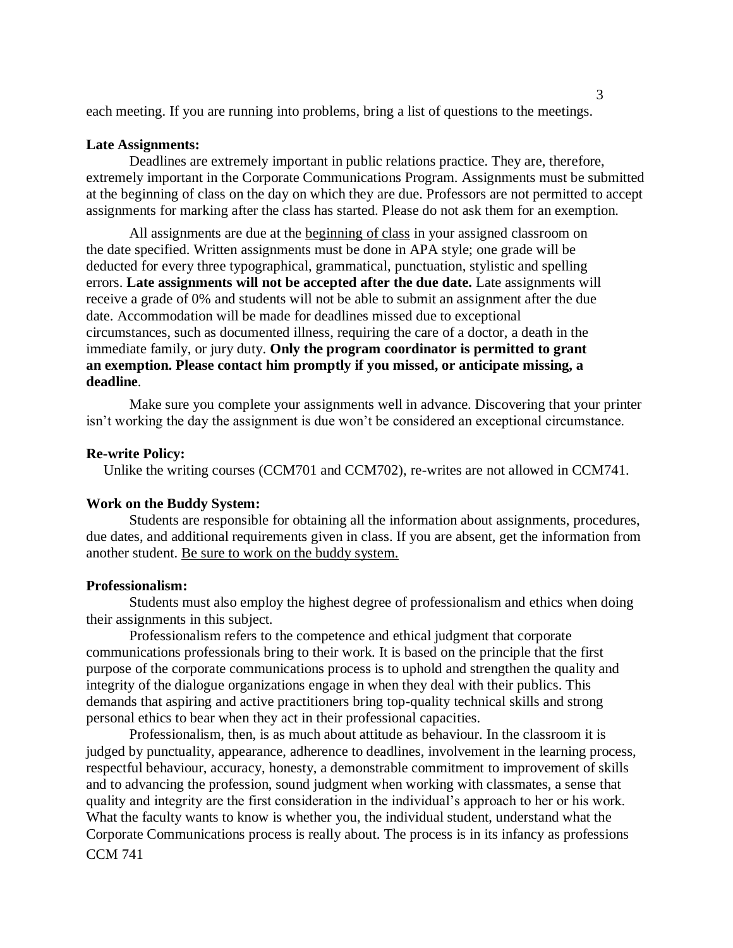each meeting. If you are running into problems, bring a list of questions to the meetings.

#### **Late Assignments:**

Deadlines are extremely important in public relations practice. They are, therefore, extremely important in the Corporate Communications Program. Assignments must be submitted at the beginning of class on the day on which they are due. Professors are not permitted to accept assignments for marking after the class has started. Please do not ask them for an exemption.

All assignments are due at the beginning of class in your assigned classroom on the date specified. Written assignments must be done in APA style; one grade will be deducted for every three typographical, grammatical, punctuation, stylistic and spelling errors. **Late assignments will not be accepted after the due date.** Late assignments will receive a grade of 0% and students will not be able to submit an assignment after the due date. Accommodation will be made for deadlines missed due to exceptional circumstances, such as documented illness, requiring the care of a doctor, a death in the immediate family, or jury duty. **Only the program coordinator is permitted to grant an exemption. Please contact him promptly if you missed, or anticipate missing, a deadline**.

Make sure you complete your assignments well in advance. Discovering that your printer isn't working the day the assignment is due won't be considered an exceptional circumstance.

#### **Re-write Policy:**

Unlike the writing courses (CCM701 and CCM702), re-writes are not allowed in CCM741.

#### **Work on the Buddy System:**

Students are responsible for obtaining all the information about assignments, procedures, due dates, and additional requirements given in class. If you are absent, get the information from another student. Be sure to work on the buddy system.

#### **Professionalism:**

Students must also employ the highest degree of professionalism and ethics when doing their assignments in this subject.

Professionalism refers to the competence and ethical judgment that corporate communications professionals bring to their work. It is based on the principle that the first purpose of the corporate communications process is to uphold and strengthen the quality and integrity of the dialogue organizations engage in when they deal with their publics. This demands that aspiring and active practitioners bring top-quality technical skills and strong personal ethics to bear when they act in their professional capacities.

CCM 741 Professionalism, then, is as much about attitude as behaviour. In the classroom it is judged by punctuality, appearance, adherence to deadlines, involvement in the learning process, respectful behaviour, accuracy, honesty, a demonstrable commitment to improvement of skills and to advancing the profession, sound judgment when working with classmates, a sense that quality and integrity are the first consideration in the individual's approach to her or his work. What the faculty wants to know is whether you, the individual student, understand what the Corporate Communications process is really about. The process is in its infancy as professions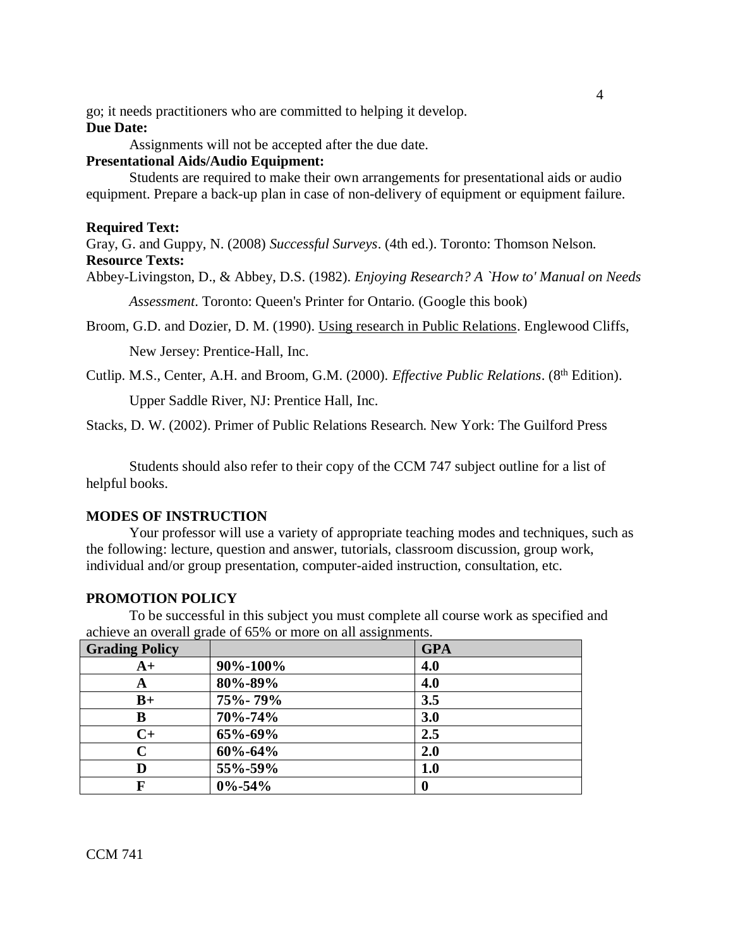go; it needs practitioners who are committed to helping it develop. **Due Date:**

Assignments will not be accepted after the due date.

### **Presentational Aids/Audio Equipment:**

Students are required to make their own arrangements for presentational aids or audio equipment. Prepare a back-up plan in case of non-delivery of equipment or equipment failure.

#### **Required Text:**

Gray, G. and Guppy, N. (2008) *Successful Surveys*. (4th ed.). Toronto: Thomson Nelson. **Resource Texts:**

Abbey-Livingston, D., & Abbey, D.S. (1982). *Enjoying Research? A `How to' Manual on Needs* 

*Assessment*. Toronto: Queen's Printer for Ontario. (Google this book)

Broom, G.D. and Dozier, D. M. (1990). Using research in Public Relations. Englewood Cliffs,

New Jersey: Prentice-Hall, Inc.

Cutlip. M.S., Center, A.H. and Broom, G.M. (2000). *Effective Public Relations*. (8<sup>th</sup> Edition).

Upper Saddle River, NJ: Prentice Hall, Inc.

Stacks, D. W. (2002). Primer of Public Relations Research. New York: The Guilford Press

Students should also refer to their copy of the CCM 747 subject outline for a list of helpful books.

#### **MODES OF INSTRUCTION**

Your professor will use a variety of appropriate teaching modes and techniques, such as the following: lecture, question and answer, tutorials, classroom discussion, group work, individual and/or group presentation, computer-aided instruction, consultation, etc.

### **PROMOTION POLICY**

To be successful in this subject you must complete all course work as specified and achieve an overall grade of 65% or more on all assignments.

| <b>Grading Policy</b> |               | <b>GPA</b> |
|-----------------------|---------------|------------|
| $A+$                  | 90%-100%      | 4.0        |
| A                     | 80%-89%       | 4.0        |
| $B+$                  | 75%-79%       | 3.5        |
| В                     | 70%-74%       | 3.0        |
| $C+$                  | 65%-69%       | 2.5        |
| $\mathbf C$           | $60\% - 64\%$ | 2.0        |
| D                     | 55%-59%       | 1.0        |
|                       | $0\% - 54\%$  | 0          |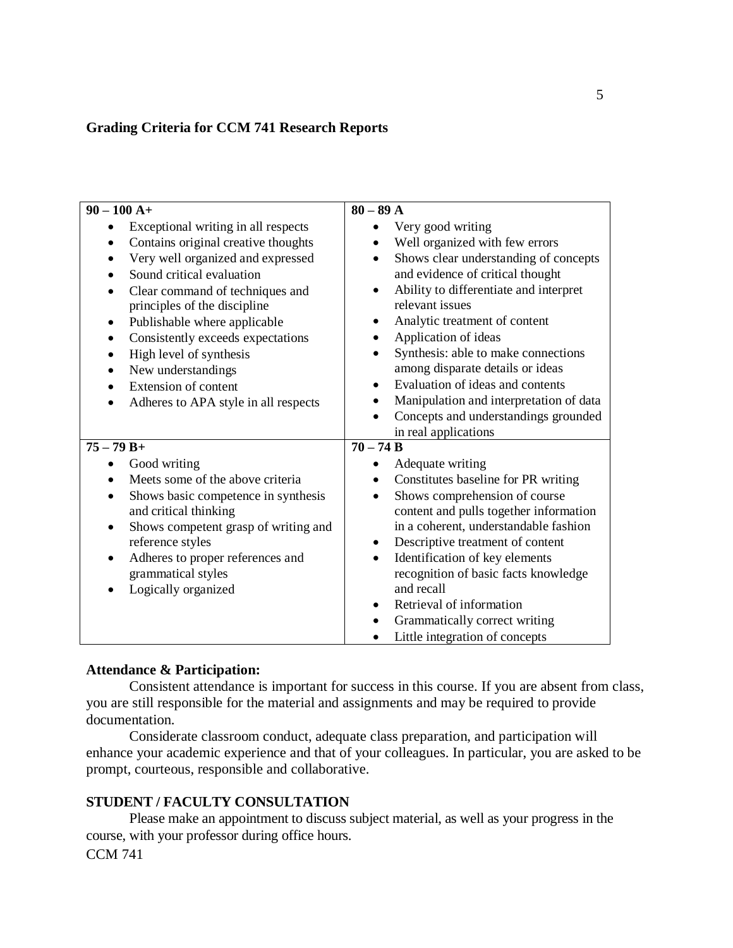## **Grading Criteria for CCM 741 Research Reports**

| $90 - 100 A +$                                                  | $80 - 89$ A                                                            |
|-----------------------------------------------------------------|------------------------------------------------------------------------|
| Exceptional writing in all respects<br>٠                        | Very good writing<br>$\bullet$                                         |
| Contains original creative thoughts                             | Well organized with few errors<br>$\bullet$                            |
| Very well organized and expressed                               | Shows clear understanding of concepts<br>$\bullet$                     |
| Sound critical evaluation                                       | and evidence of critical thought                                       |
| Clear command of techniques and<br>principles of the discipline | Ability to differentiate and interpret<br>$\bullet$<br>relevant issues |
| Publishable where applicable<br>٠                               | Analytic treatment of content                                          |
| Consistently exceeds expectations<br>$\bullet$                  | Application of ideas                                                   |
| High level of synthesis                                         | Synthesis: able to make connections                                    |
| New understandings                                              | among disparate details or ideas                                       |
| Extension of content                                            | Evaluation of ideas and contents                                       |
| Adheres to APA style in all respects                            | Manipulation and interpretation of data                                |
|                                                                 | Concepts and understandings grounded                                   |
|                                                                 | in real applications                                                   |
| $75 - 79 B +$                                                   | $70 - 74 B$                                                            |
| Good writing                                                    | Adequate writing                                                       |
| Meets some of the above criteria                                | Constitutes baseline for PR writing                                    |
| Shows basic competence in synthesis                             | Shows comprehension of course<br>$\bullet$                             |
| and critical thinking                                           | content and pulls together information                                 |
| Shows competent grasp of writing and                            | in a coherent, understandable fashion                                  |
| reference styles                                                | Descriptive treatment of content<br>$\bullet$                          |
| Adheres to proper references and                                | Identification of key elements                                         |
| grammatical styles                                              | recognition of basic facts knowledge                                   |
| Logically organized                                             | and recall                                                             |
|                                                                 | Retrieval of information                                               |
|                                                                 | Grammatically correct writing                                          |
|                                                                 | Little integration of concepts                                         |

### **Attendance & Participation:**

Consistent attendance is important for success in this course. If you are absent from class, you are still responsible for the material and assignments and may be required to provide documentation.

Considerate classroom conduct, adequate class preparation, and participation will enhance your academic experience and that of your colleagues. In particular, you are asked to be prompt, courteous, responsible and collaborative.

## **STUDENT / FACULTY CONSULTATION**

Please make an appointment to discuss subject material, as well as your progress in the course, with your professor during office hours.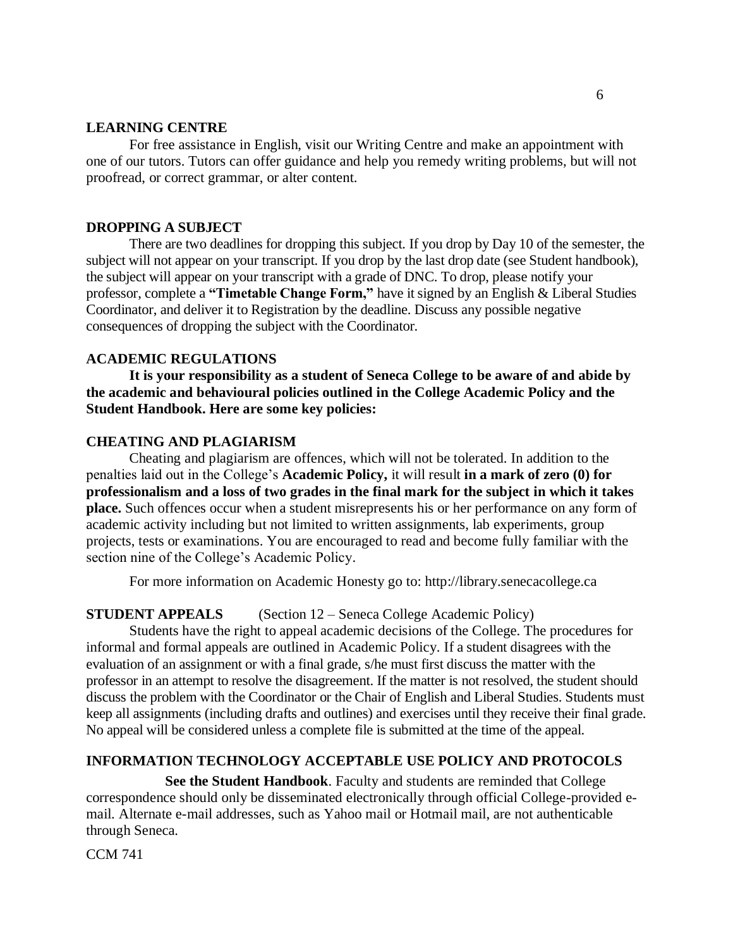### **LEARNING CENTRE**

For free assistance in English, visit our Writing Centre and make an appointment with one of our tutors. Tutors can offer guidance and help you remedy writing problems, but will not proofread, or correct grammar, or alter content.

## **DROPPING A SUBJECT**

There are two deadlines for dropping this subject. If you drop by Day 10 of the semester, the subject will not appear on your transcript. If you drop by the last drop date (see Student handbook), the subject will appear on your transcript with a grade of DNC. To drop, please notify your professor, complete a **"Timetable Change Form,"** have it signed by an English & Liberal Studies Coordinator, and deliver it to Registration by the deadline. Discuss any possible negative consequences of dropping the subject with the Coordinator.

### **ACADEMIC REGULATIONS**

**It is your responsibility as a student of Seneca College to be aware of and abide by the academic and behavioural policies outlined in the College Academic Policy and the Student Handbook. Here are some key policies:**

### **CHEATING AND PLAGIARISM**

Cheating and plagiarism are offences, which will not be tolerated. In addition to the penalties laid out in the College's **Academic Policy,** it will result **in a mark of zero (0) for professionalism and a loss of two grades in the final mark for the subject in which it takes place.** Such offences occur when a student misrepresents his or her performance on any form of academic activity including but not limited to written assignments, lab experiments, group projects, tests or examinations. You are encouraged to read and become fully familiar with the section nine of the College's Academic Policy.

For more information on Academic Honesty go to: http://library.senecacollege.ca

## **STUDENT APPEALS** (Section 12 – Seneca College Academic Policy)

Students have the right to appeal academic decisions of the College. The procedures for informal and formal appeals are outlined in Academic Policy. If a student disagrees with the evaluation of an assignment or with a final grade, s/he must first discuss the matter with the professor in an attempt to resolve the disagreement. If the matter is not resolved, the student should discuss the problem with the Coordinator or the Chair of English and Liberal Studies. Students must keep all assignments (including drafts and outlines) and exercises until they receive their final grade. No appeal will be considered unless a complete file is submitted at the time of the appeal.

## **INFORMATION TECHNOLOGY ACCEPTABLE USE POLICY AND PROTOCOLS**

 **See the Student Handbook**. Faculty and students are reminded that College correspondence should only be disseminated electronically through official College-provided email. Alternate e-mail addresses, such as Yahoo mail or Hotmail mail, are not authenticable through Seneca.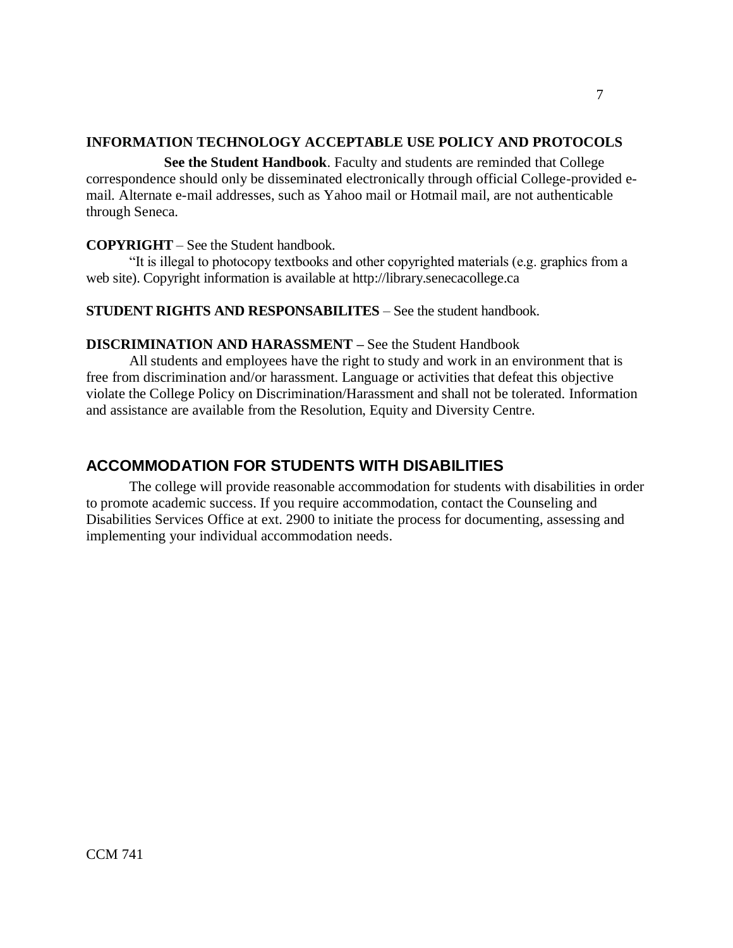## **INFORMATION TECHNOLOGY ACCEPTABLE USE POLICY AND PROTOCOLS**

 **See the Student Handbook**. Faculty and students are reminded that College correspondence should only be disseminated electronically through official College-provided email. Alternate e-mail addresses, such as Yahoo mail or Hotmail mail, are not authenticable through Seneca.

## **COPYRIGHT** – See the Student handbook.

"It is illegal to photocopy textbooks and other copyrighted materials (e.g. graphics from a web site). Copyright information is available at http://library.senecacollege.ca

## **STUDENT RIGHTS AND RESPONSABILITES** – See the student handbook.

## **DISCRIMINATION AND HARASSMENT –** See the Student Handbook

All students and employees have the right to study and work in an environment that is free from discrimination and/or harassment. Language or activities that defeat this objective violate the College Policy on Discrimination/Harassment and shall not be tolerated. Information and assistance are available from the Resolution, Equity and Diversity Centre.

## **ACCOMMODATION FOR STUDENTS WITH DISABILITIES**

The college will provide reasonable accommodation for students with disabilities in order to promote academic success. If you require accommodation, contact the Counseling and Disabilities Services Office at ext. 2900 to initiate the process for documenting, assessing and implementing your individual accommodation needs.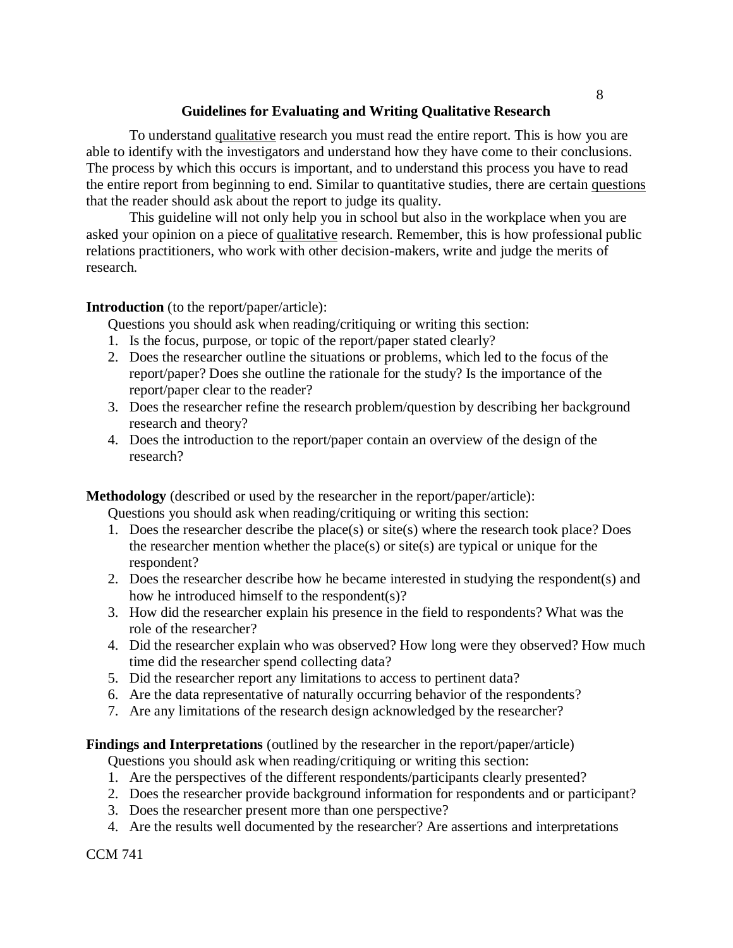## **Guidelines for Evaluating and Writing Qualitative Research**

To understand <u>qualitative</u> research you must read the entire report. This is how you are able to identify with the investigators and understand how they have come to their conclusions. The process by which this occurs is important, and to understand this process you have to read the entire report from beginning to end. Similar to quantitative studies, there are certain questions that the reader should ask about the report to judge its quality.

This guideline will not only help you in school but also in the workplace when you are asked your opinion on a piece of qualitative research. Remember, this is how professional public relations practitioners, who work with other decision-makers, write and judge the merits of research.

## **Introduction** (to the report/paper/article):

Questions you should ask when reading/critiquing or writing this section:

- 1. Is the focus, purpose, or topic of the report/paper stated clearly?
- 2. Does the researcher outline the situations or problems, which led to the focus of the report/paper? Does she outline the rationale for the study? Is the importance of the report/paper clear to the reader?
- 3. Does the researcher refine the research problem/question by describing her background research and theory?
- 4. Does the introduction to the report/paper contain an overview of the design of the research?

**Methodology** (described or used by the researcher in the report/paper/article):

Questions you should ask when reading/critiquing or writing this section:

- 1. Does the researcher describe the place(s) or site(s) where the research took place? Does the researcher mention whether the place(s) or site(s) are typical or unique for the respondent?
- 2. Does the researcher describe how he became interested in studying the respondent(s) and how he introduced himself to the respondent(s)?
- 3. How did the researcher explain his presence in the field to respondents? What was the role of the researcher?
- 4. Did the researcher explain who was observed? How long were they observed? How much time did the researcher spend collecting data?
- 5. Did the researcher report any limitations to access to pertinent data?
- 6. Are the data representative of naturally occurring behavior of the respondents?
- 7. Are any limitations of the research design acknowledged by the researcher?

## **Findings and Interpretations** (outlined by the researcher in the report/paper/article)

Questions you should ask when reading/critiquing or writing this section:

- 1. Are the perspectives of the different respondents/participants clearly presented?
- 2. Does the researcher provide background information for respondents and or participant?
- 3. Does the researcher present more than one perspective?
- 4. Are the results well documented by the researcher? Are assertions and interpretations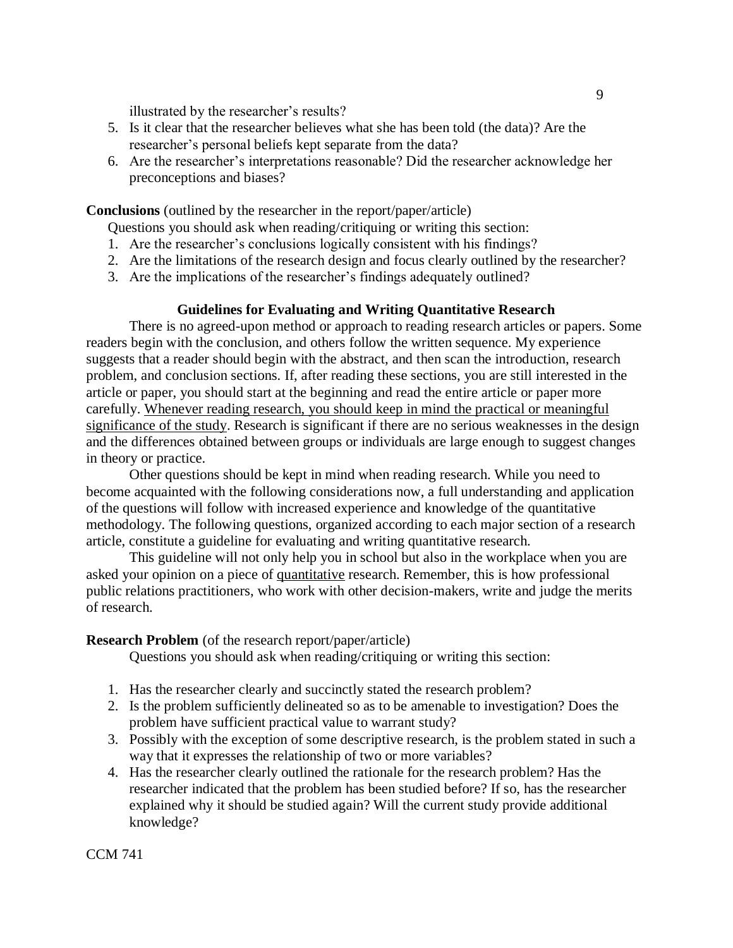illustrated by the researcher's results?

- 5. Is it clear that the researcher believes what she has been told (the data)? Are the researcher's personal beliefs kept separate from the data?
- 6. Are the researcher's interpretations reasonable? Did the researcher acknowledge her preconceptions and biases?

**Conclusions** (outlined by the researcher in the report/paper/article)

Questions you should ask when reading/critiquing or writing this section:

- 1. Are the researcher's conclusions logically consistent with his findings?
- 2. Are the limitations of the research design and focus clearly outlined by the researcher?
- 3. Are the implications of the researcher's findings adequately outlined?

### **Guidelines for Evaluating and Writing Quantitative Research**

There is no agreed-upon method or approach to reading research articles or papers. Some readers begin with the conclusion, and others follow the written sequence. My experience suggests that a reader should begin with the abstract, and then scan the introduction, research problem, and conclusion sections. If, after reading these sections, you are still interested in the article or paper, you should start at the beginning and read the entire article or paper more carefully. Whenever reading research, you should keep in mind the practical or meaningful significance of the study. Research is significant if there are no serious weaknesses in the design and the differences obtained between groups or individuals are large enough to suggest changes in theory or practice.

Other questions should be kept in mind when reading research. While you need to become acquainted with the following considerations now, a full understanding and application of the questions will follow with increased experience and knowledge of the quantitative methodology. The following questions, organized according to each major section of a research article, constitute a guideline for evaluating and writing quantitative research.

This guideline will not only help you in school but also in the workplace when you are asked your opinion on a piece of quantitative research. Remember, this is how professional public relations practitioners, who work with other decision-makers, write and judge the merits of research.

#### **Research Problem** (of the research report/paper/article)

Questions you should ask when reading/critiquing or writing this section:

- 1. Has the researcher clearly and succinctly stated the research problem?
- 2. Is the problem sufficiently delineated so as to be amenable to investigation? Does the problem have sufficient practical value to warrant study?
- 3. Possibly with the exception of some descriptive research, is the problem stated in such a way that it expresses the relationship of two or more variables?
- 4. Has the researcher clearly outlined the rationale for the research problem? Has the researcher indicated that the problem has been studied before? If so, has the researcher explained why it should be studied again? Will the current study provide additional knowledge?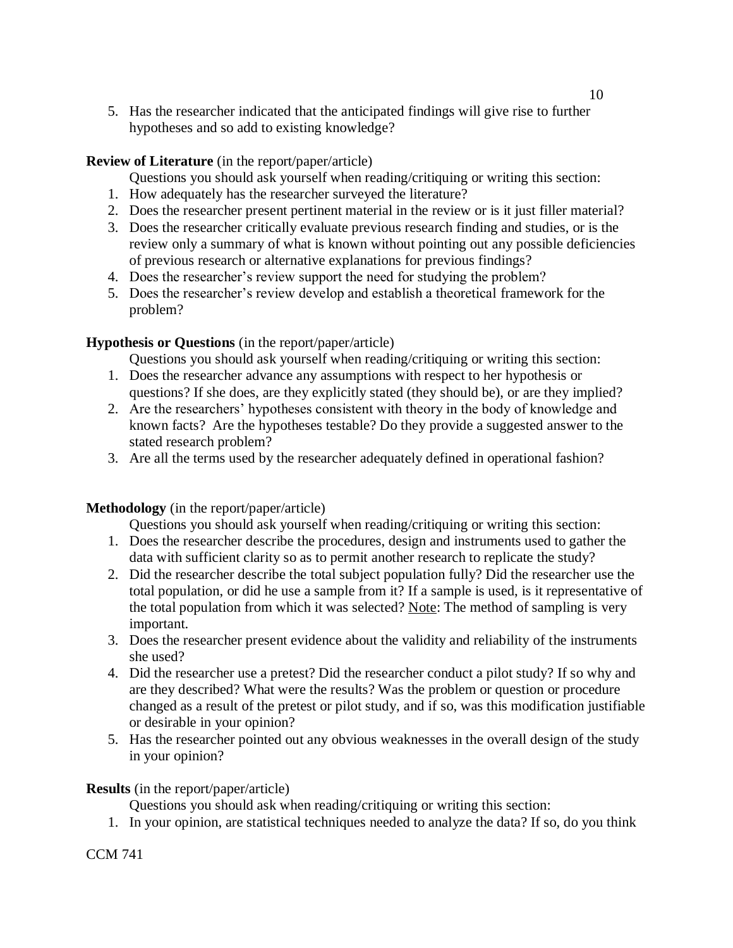5. Has the researcher indicated that the anticipated findings will give rise to further hypotheses and so add to existing knowledge?

## **Review of Literature** (in the report/paper/article)

- Questions you should ask yourself when reading/critiquing or writing this section:
- 1. How adequately has the researcher surveyed the literature?
- 2. Does the researcher present pertinent material in the review or is it just filler material?
- 3. Does the researcher critically evaluate previous research finding and studies, or is the review only a summary of what is known without pointing out any possible deficiencies of previous research or alternative explanations for previous findings?
- 4. Does the researcher's review support the need for studying the problem?
- 5. Does the researcher's review develop and establish a theoretical framework for the problem?

## **Hypothesis or Questions** (in the report/paper/article)

Questions you should ask yourself when reading/critiquing or writing this section:

- 1. Does the researcher advance any assumptions with respect to her hypothesis or questions? If she does, are they explicitly stated (they should be), or are they implied?
- 2. Are the researchers' hypotheses consistent with theory in the body of knowledge and known facts? Are the hypotheses testable? Do they provide a suggested answer to the stated research problem?
- 3. Are all the terms used by the researcher adequately defined in operational fashion?

## **Methodology** (in the report/paper/article)

Questions you should ask yourself when reading/critiquing or writing this section:

- 1. Does the researcher describe the procedures, design and instruments used to gather the data with sufficient clarity so as to permit another research to replicate the study?
- 2. Did the researcher describe the total subject population fully? Did the researcher use the total population, or did he use a sample from it? If a sample is used, is it representative of the total population from which it was selected? Note: The method of sampling is very important.
- 3. Does the researcher present evidence about the validity and reliability of the instruments she used?
- 4. Did the researcher use a pretest? Did the researcher conduct a pilot study? If so why and are they described? What were the results? Was the problem or question or procedure changed as a result of the pretest or pilot study, and if so, was this modification justifiable or desirable in your opinion?
- 5. Has the researcher pointed out any obvious weaknesses in the overall design of the study in your opinion?

## **Results** (in the report/paper/article)

Questions you should ask when reading/critiquing or writing this section:

1. In your opinion, are statistical techniques needed to analyze the data? If so, do you think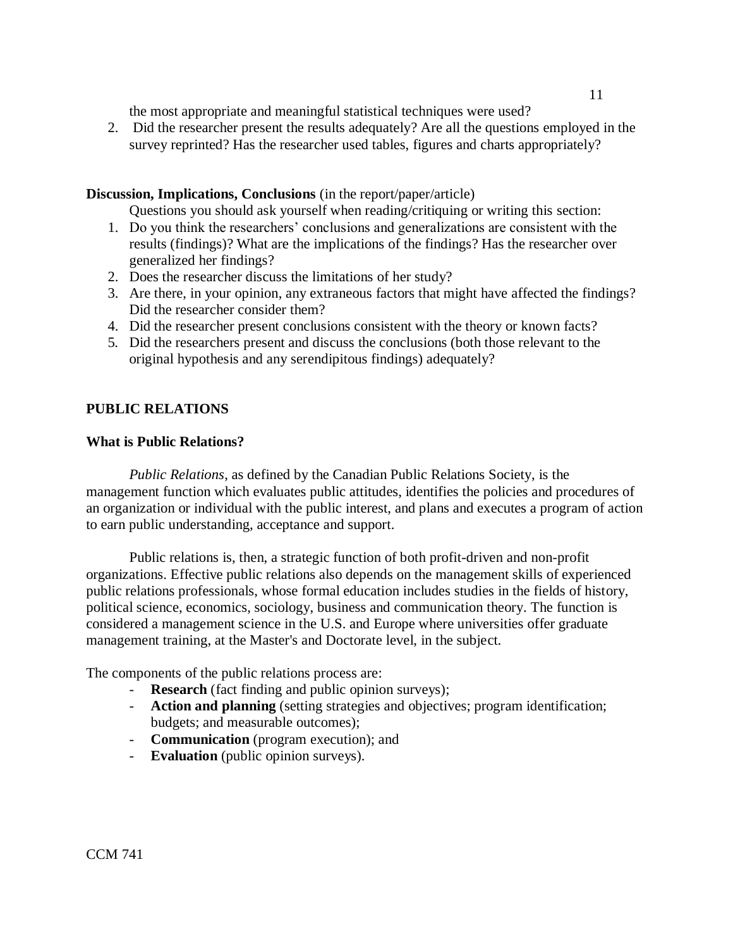the most appropriate and meaningful statistical techniques were used?

2. Did the researcher present the results adequately? Are all the questions employed in the survey reprinted? Has the researcher used tables, figures and charts appropriately?

## **Discussion, Implications, Conclusions** (in the report/paper/article)

Questions you should ask yourself when reading/critiquing or writing this section:

- 1. Do you think the researchers' conclusions and generalizations are consistent with the results (findings)? What are the implications of the findings? Has the researcher over generalized her findings?
- 2. Does the researcher discuss the limitations of her study?
- 3. Are there, in your opinion, any extraneous factors that might have affected the findings? Did the researcher consider them?
- 4. Did the researcher present conclusions consistent with the theory or known facts?
- 5. Did the researchers present and discuss the conclusions (both those relevant to the original hypothesis and any serendipitous findings) adequately?

## **PUBLIC RELATIONS**

## **What is Public Relations?**

*Public Relations*, as defined by the Canadian Public Relations Society, is the management function which evaluates public attitudes, identifies the policies and procedures of an organization or individual with the public interest, and plans and executes a program of action to earn public understanding, acceptance and support.

Public relations is, then, a strategic function of both profit-driven and non-profit organizations. Effective public relations also depends on the management skills of experienced public relations professionals, whose formal education includes studies in the fields of history, political science, economics, sociology, business and communication theory. The function is considered a management science in the U.S. and Europe where universities offer graduate management training, at the Master's and Doctorate level, in the subject.

The components of the public relations process are:

- **Research** (fact finding and public opinion surveys);
- **Action and planning** (setting strategies and objectives; program identification; budgets; and measurable outcomes);
- **Communication** (program execution); and
- **Evaluation** (public opinion surveys).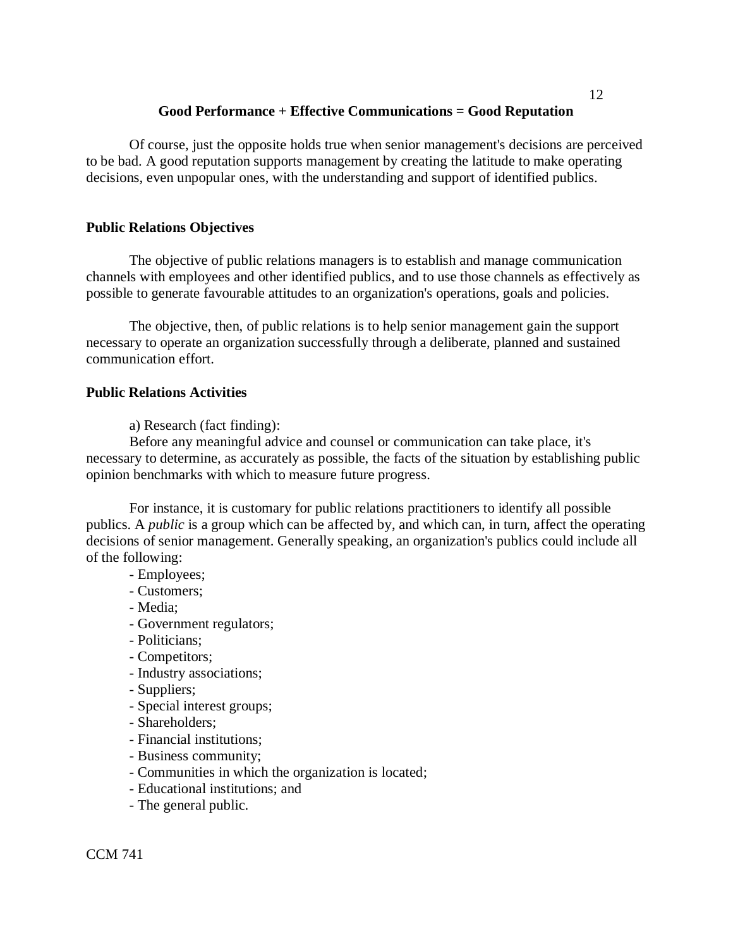## **Good Performance + Effective Communications = Good Reputation**

Of course, just the opposite holds true when senior management's decisions are perceived to be bad. A good reputation supports management by creating the latitude to make operating decisions, even unpopular ones, with the understanding and support of identified publics.

## **Public Relations Objectives**

The objective of public relations managers is to establish and manage communication channels with employees and other identified publics, and to use those channels as effectively as possible to generate favourable attitudes to an organization's operations, goals and policies.

The objective, then, of public relations is to help senior management gain the support necessary to operate an organization successfully through a deliberate, planned and sustained communication effort.

## **Public Relations Activities**

a) Research (fact finding):

Before any meaningful advice and counsel or communication can take place, it's necessary to determine, as accurately as possible, the facts of the situation by establishing public opinion benchmarks with which to measure future progress.

For instance, it is customary for public relations practitioners to identify all possible publics. A *public* is a group which can be affected by, and which can, in turn, affect the operating decisions of senior management. Generally speaking, an organization's publics could include all of the following:

- Employees;
- Customers;
- Media;
- Government regulators;
- Politicians;
- Competitors;
- Industry associations;
- Suppliers;
- Special interest groups;
- Shareholders;
- Financial institutions;
- Business community;
- Communities in which the organization is located;
- Educational institutions; and
- The general public.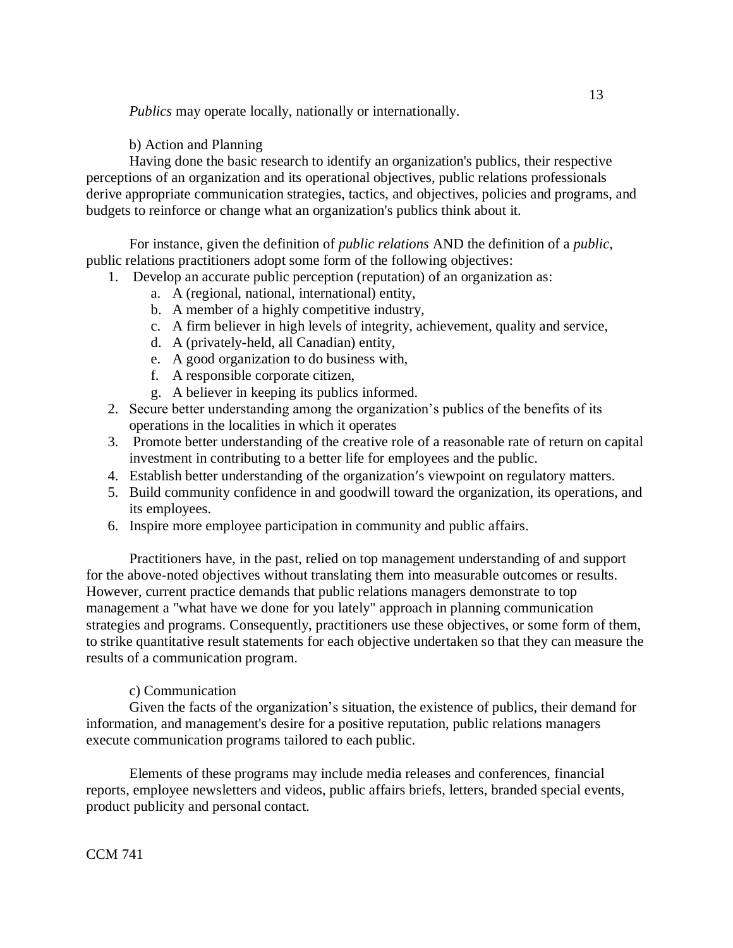*Publics* may operate locally, nationally or internationally.

b) Action and Planning

Having done the basic research to identify an organization's publics, their respective perceptions of an organization and its operational objectives, public relations professionals derive appropriate communication strategies, tactics, and objectives, policies and programs, and budgets to reinforce or change what an organization's publics think about it.

For instance, given the definition of *public relations* AND the definition of a *public*, public relations practitioners adopt some form of the following objectives:

- 1. Develop an accurate public perception (reputation) of an organization as:
	- a. A (regional, national, international) entity,
	- b. A member of a highly competitive industry,
	- c. A firm believer in high levels of integrity, achievement, quality and service,
	- d. A (privately-held, all Canadian) entity,
	- e. A good organization to do business with,
	- f. A responsible corporate citizen,
	- g. A believer in keeping its publics informed.
- 2. Secure better understanding among the organization's publics of the benefits of its operations in the localities in which it operates
- 3. Promote better understanding of the creative role of a reasonable rate of return on capital investment in contributing to a better life for employees and the public.
- 4. Establish better understanding of the organization's viewpoint on regulatory matters.
- 5. Build community confidence in and goodwill toward the organization, its operations, and its employees.
- 6. Inspire more employee participation in community and public affairs.

Practitioners have, in the past, relied on top management understanding of and support for the above-noted objectives without translating them into measurable outcomes or results. However, current practice demands that public relations managers demonstrate to top management a "what have we done for you lately" approach in planning communication strategies and programs. Consequently, practitioners use these objectives, or some form of them, to strike quantitative result statements for each objective undertaken so that they can measure the results of a communication program.

## c) Communication

Given the facts of the organization's situation, the existence of publics, their demand for information, and management's desire for a positive reputation, public relations managers execute communication programs tailored to each public.

Elements of these programs may include media releases and conferences, financial reports, employee newsletters and videos, public affairs briefs, letters, branded special events, product publicity and personal contact.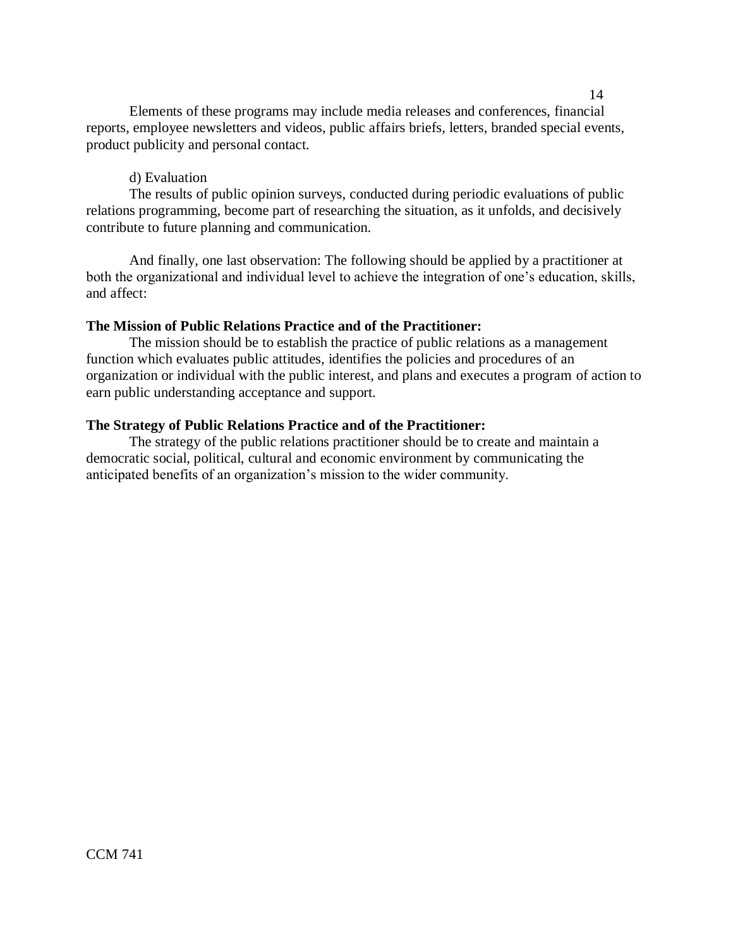Elements of these programs may include media releases and conferences, financial reports, employee newsletters and videos, public affairs briefs, letters, branded special events, product publicity and personal contact.

## d) Evaluation

The results of public opinion surveys, conducted during periodic evaluations of public relations programming, become part of researching the situation, as it unfolds, and decisively contribute to future planning and communication.

And finally, one last observation: The following should be applied by a practitioner at both the organizational and individual level to achieve the integration of one's education, skills, and affect:

## **The Mission of Public Relations Practice and of the Practitioner:**

The mission should be to establish the practice of public relations as a management function which evaluates public attitudes, identifies the policies and procedures of an organization or individual with the public interest, and plans and executes a program of action to earn public understanding acceptance and support.

## **The Strategy of Public Relations Practice and of the Practitioner:**

The strategy of the public relations practitioner should be to create and maintain a democratic social, political, cultural and economic environment by communicating the anticipated benefits of an organization's mission to the wider community.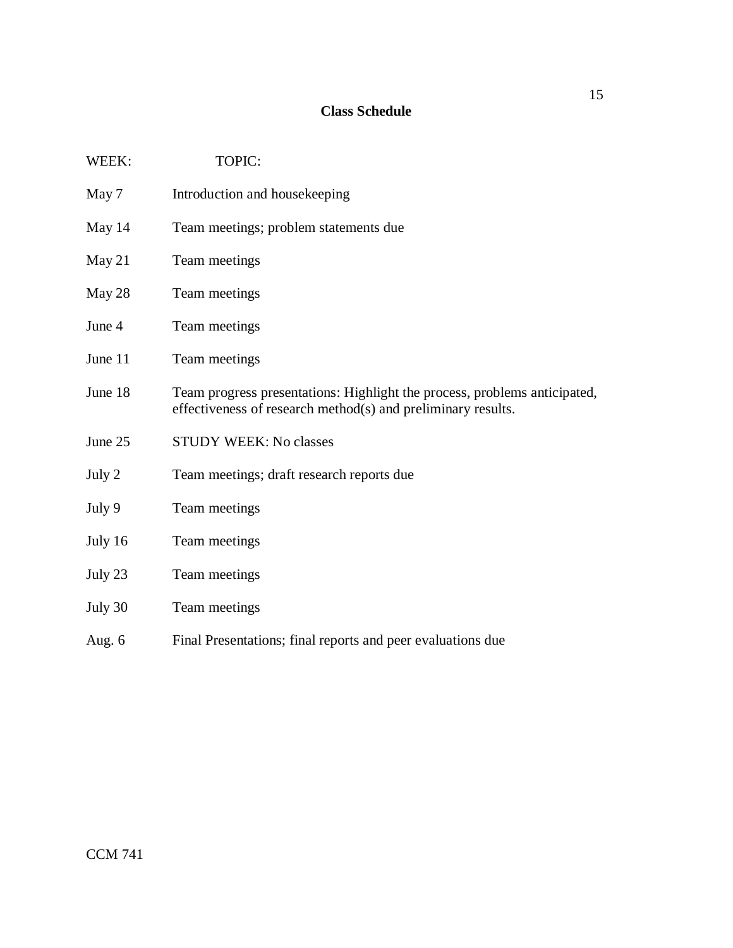## **Class Schedule**

| WEEK:   | TOPIC:                                                                                                                                    |
|---------|-------------------------------------------------------------------------------------------------------------------------------------------|
| May 7   | Introduction and housekeeping                                                                                                             |
| May 14  | Team meetings; problem statements due                                                                                                     |
| May 21  | Team meetings                                                                                                                             |
| May 28  | Team meetings                                                                                                                             |
| June 4  | Team meetings                                                                                                                             |
| June 11 | Team meetings                                                                                                                             |
| June 18 | Team progress presentations: Highlight the process, problems anticipated,<br>effectiveness of research method(s) and preliminary results. |
| June 25 | <b>STUDY WEEK: No classes</b>                                                                                                             |
| July 2  | Team meetings; draft research reports due                                                                                                 |
| July 9  | Team meetings                                                                                                                             |
| July 16 | Team meetings                                                                                                                             |
| July 23 | Team meetings                                                                                                                             |
| July 30 | Team meetings                                                                                                                             |
| Aug. 6  | Final Presentations; final reports and peer evaluations due                                                                               |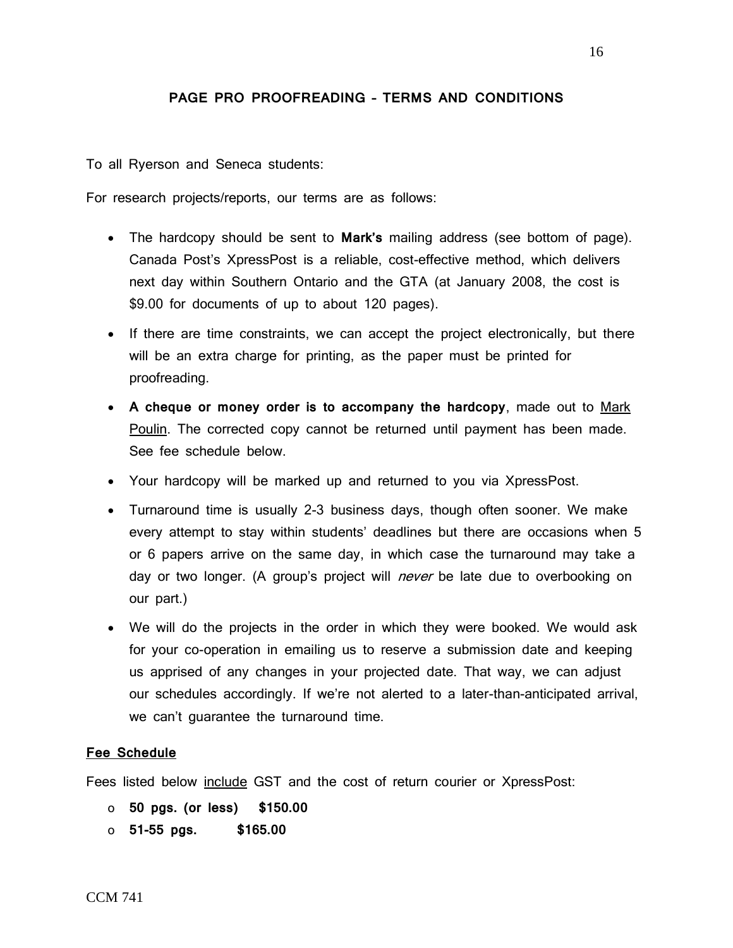## **PAGE PRO PROOFREADING – TERMS AND CONDITIONS**

To all Ryerson and Seneca students:

For research projects/reports, our terms are as follows:

- The hardcopy should be sent to **Mark's** mailing address (see bottom of page). Canada Post's XpressPost is a reliable, cost-effective method, which delivers next day within Southern Ontario and the GTA (at January 2008, the cost is \$9.00 for documents of up to about 120 pages).
- If there are time constraints, we can accept the project electronically, but there will be an extra charge for printing, as the paper must be printed for proofreading.
- **A cheque or money order is to accompany the hardcopy**, made out to Mark Poulin. The corrected copy cannot be returned until payment has been made. See fee schedule below.
- Your hardcopy will be marked up and returned to you via XpressPost.
- Turnaround time is usually 2-3 business days, though often sooner. We make every attempt to stay within students' deadlines but there are occasions when 5 or 6 papers arrive on the same day, in which case the turnaround may take a day or two longer. (A group's project will *never* be late due to overbooking on our part.)
- We will do the projects in the order in which they were booked. We would ask for your co-operation in emailing us to reserve a submission date and keeping us apprised of any changes in your projected date. That way, we can adjust our schedules accordingly. If we're not alerted to a later-than-anticipated arrival, we can't guarantee the turnaround time.

### **Fee Schedule**

Fees listed below include GST and the cost of return courier or XpressPost:

- o **50 pgs. (or less) \$150.00**
- o **51-55 pgs. \$165.00**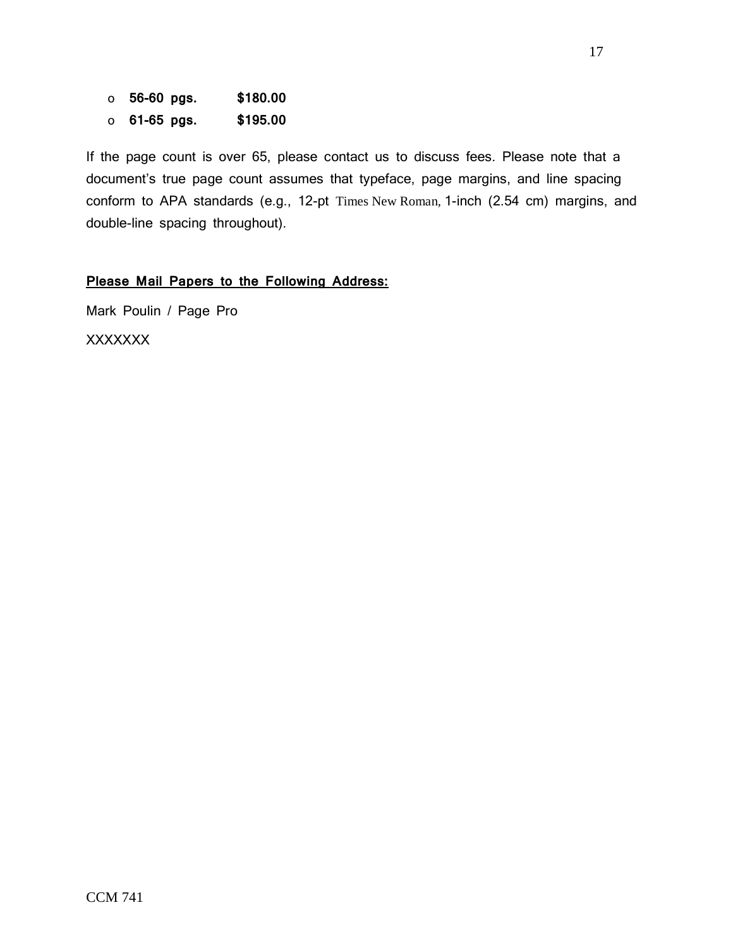o **56-60 pgs. \$180.00** o **61-65 pgs. \$195.00** 

If the page count is over 65, please contact us to discuss fees. Please note that a document's true page count assumes that typeface, page margins, and line spacing conform to APA standards (e.g., 12-pt Times New Roman, 1-inch (2.54 cm) margins, and double-line spacing throughout).

## **Please Mail Papers to the Following Address:**

Mark Poulin / Page Pro

XXXXXXX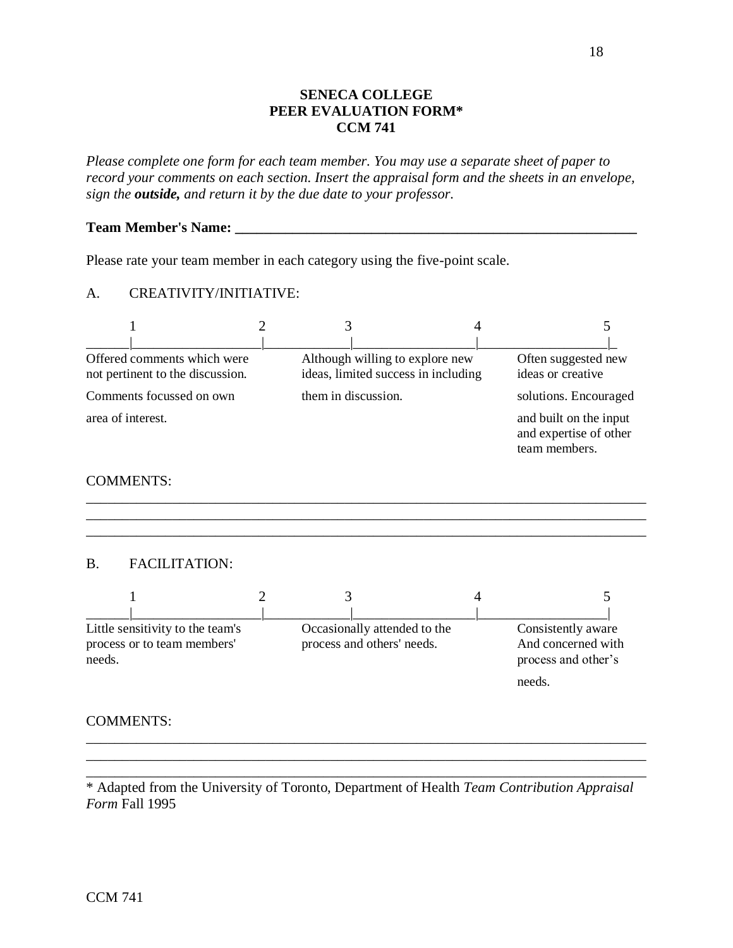## **SENECA COLLEGE PEER EVALUATION FORM\* CCM 741**

*Please complete one form for each team member. You may use a separate sheet of paper to record your comments on each section. Insert the appraisal form and the sheets in an envelope, sign the outside, and return it by the due date to your professor.*

### **Team Member's Name: \_\_\_\_\_\_\_\_\_\_\_\_\_\_\_\_\_\_\_\_\_\_\_\_\_\_\_\_\_\_\_\_\_\_\_\_\_\_\_\_\_\_\_\_\_\_\_\_\_\_\_\_\_\_\_\_**

Please rate your team member in each category using the five-point scale.

## A. CREATIVITY/INITIATIVE:



\_\_\_\_\_\_\_\_\_\_\_\_\_\_\_\_\_\_\_\_\_\_\_\_\_\_\_\_\_\_\_\_\_\_\_\_\_\_\_\_\_\_\_\_\_\_\_\_\_\_\_\_\_\_\_\_\_\_\_\_\_\_\_\_\_\_\_\_\_\_\_\_\_\_\_\_\_\_ \_\_\_\_\_\_\_\_\_\_\_\_\_\_\_\_\_\_\_\_\_\_\_\_\_\_\_\_\_\_\_\_\_\_\_\_\_\_\_\_\_\_\_\_\_\_\_\_\_\_\_\_\_\_\_\_\_\_\_\_\_\_\_\_\_\_\_\_\_\_\_\_\_\_\_\_\_\_ \_\_\_\_\_\_\_\_\_\_\_\_\_\_\_\_\_\_\_\_\_\_\_\_\_\_\_\_\_\_\_\_\_\_\_\_\_\_\_\_\_\_\_\_\_\_\_\_\_\_\_\_\_\_\_\_\_\_\_\_\_\_\_\_\_\_\_\_\_\_\_\_\_\_\_\_\_\_

COMMENTS:

## B. FACILITATION:

| Little sensitivity to the team's<br>process or to team members'<br>needs. | Occasionally attended to the<br>process and others' needs. | Consistently aware<br>And concerned with<br>process and other's<br>needs. |
|---------------------------------------------------------------------------|------------------------------------------------------------|---------------------------------------------------------------------------|

### COMMENTS:

\* Adapted from the University of Toronto, Department of Health *Team Contribution Appraisal Form* Fall 1995

\_\_\_\_\_\_\_\_\_\_\_\_\_\_\_\_\_\_\_\_\_\_\_\_\_\_\_\_\_\_\_\_\_\_\_\_\_\_\_\_\_\_\_\_\_\_\_\_\_\_\_\_\_\_\_\_\_\_\_\_\_\_\_\_\_\_\_\_\_\_\_\_\_\_\_\_\_\_ \_\_\_\_\_\_\_\_\_\_\_\_\_\_\_\_\_\_\_\_\_\_\_\_\_\_\_\_\_\_\_\_\_\_\_\_\_\_\_\_\_\_\_\_\_\_\_\_\_\_\_\_\_\_\_\_\_\_\_\_\_\_\_\_\_\_\_\_\_\_\_\_\_\_\_\_\_\_ \_\_\_\_\_\_\_\_\_\_\_\_\_\_\_\_\_\_\_\_\_\_\_\_\_\_\_\_\_\_\_\_\_\_\_\_\_\_\_\_\_\_\_\_\_\_\_\_\_\_\_\_\_\_\_\_\_\_\_\_\_\_\_\_\_\_\_\_\_\_\_\_\_\_\_\_\_\_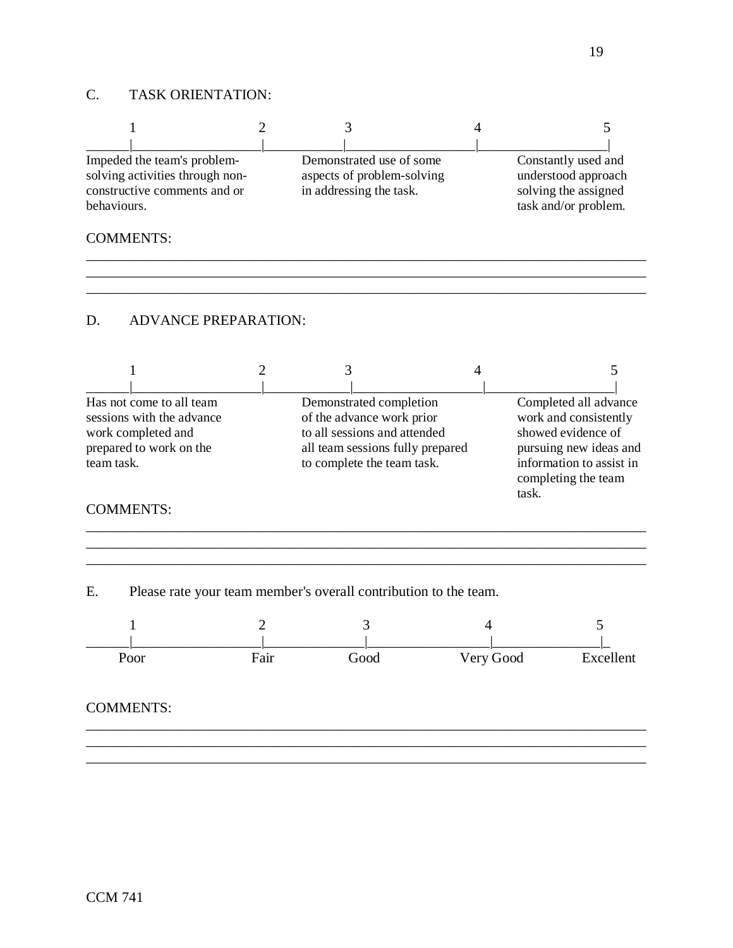## C. TASK ORIENTATION:

| Impeded the team's problem-<br>solving activities through non-<br>constructive comments and or<br>behaviours. | Demonstrated use of some<br>aspects of problem-solving<br>in addressing the task. |  | Constantly used and<br>understood approach<br>solving the assigned<br>task and/or problem. |
|---------------------------------------------------------------------------------------------------------------|-----------------------------------------------------------------------------------|--|--------------------------------------------------------------------------------------------|
| <b>COMMENTS:</b>                                                                                              |                                                                                   |  |                                                                                            |
|                                                                                                               |                                                                                   |  |                                                                                            |

\_\_\_\_\_\_\_\_\_\_\_\_\_\_\_\_\_\_\_\_\_\_\_\_\_\_\_\_\_\_\_\_\_\_\_\_\_\_\_\_\_\_\_\_\_\_\_\_\_\_\_\_\_\_\_\_\_\_\_\_\_\_\_\_\_\_\_\_\_\_\_\_\_\_\_\_\_\_

### D. ADVANCE PREPARATION:

| Has not come to all team<br>sessions with the advance<br>work completed and<br>prepared to work on the<br>team task. | Demonstrated completion<br>of the advance work prior<br>to all sessions and attended<br>all team sessions fully prepared<br>to complete the team task. | Completed all advance<br>work and consistently<br>showed evidence of<br>pursuing new ideas and<br>information to assist in<br>completing the team |
|----------------------------------------------------------------------------------------------------------------------|--------------------------------------------------------------------------------------------------------------------------------------------------------|---------------------------------------------------------------------------------------------------------------------------------------------------|
| <b>COMMENTS:</b>                                                                                                     |                                                                                                                                                        | task.                                                                                                                                             |

\_\_\_\_\_\_\_\_\_\_\_\_\_\_\_\_\_\_\_\_\_\_\_\_\_\_\_\_\_\_\_\_\_\_\_\_\_\_\_\_\_\_\_\_\_\_\_\_\_\_\_\_\_\_\_\_\_\_\_\_\_\_\_\_\_\_\_\_\_\_\_\_\_\_\_\_\_\_ \_\_\_\_\_\_\_\_\_\_\_\_\_\_\_\_\_\_\_\_\_\_\_\_\_\_\_\_\_\_\_\_\_\_\_\_\_\_\_\_\_\_\_\_\_\_\_\_\_\_\_\_\_\_\_\_\_\_\_\_\_\_\_\_\_\_\_\_\_\_\_\_\_\_\_\_\_\_

# \_\_\_\_\_\_\_\_\_\_\_\_\_\_\_\_\_\_\_\_\_\_\_\_\_\_\_\_\_\_\_\_\_\_\_\_\_\_\_\_\_\_\_\_\_\_\_\_\_\_\_\_\_\_\_\_\_\_\_\_\_\_\_\_\_\_\_\_\_\_\_\_\_\_\_\_\_\_

E. Please rate your team member's overall contribution to the team.

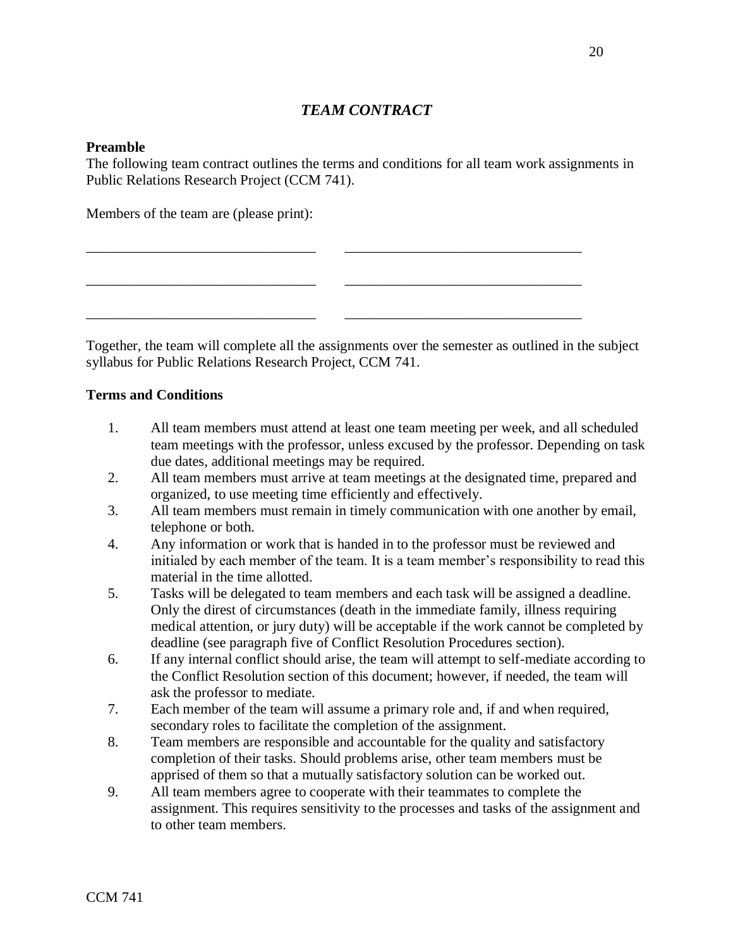## *TEAM CONTRACT*

### **Preamble**

The following team contract outlines the terms and conditions for all team work assignments in Public Relations Research Project (CCM 741).

\_\_\_\_\_\_\_\_\_\_\_\_\_\_\_\_\_\_\_\_\_\_\_\_\_\_\_\_\_\_\_\_ \_\_\_\_\_\_\_\_\_\_\_\_\_\_\_\_\_\_\_\_\_\_\_\_\_\_\_\_\_\_\_\_\_

\_\_\_\_\_\_\_\_\_\_\_\_\_\_\_\_\_\_\_\_\_\_\_\_\_\_\_\_\_\_\_\_ \_\_\_\_\_\_\_\_\_\_\_\_\_\_\_\_\_\_\_\_\_\_\_\_\_\_\_\_\_\_\_\_\_

\_\_\_\_\_\_\_\_\_\_\_\_\_\_\_\_\_\_\_\_\_\_\_\_\_\_\_\_\_\_\_\_ \_\_\_\_\_\_\_\_\_\_\_\_\_\_\_\_\_\_\_\_\_\_\_\_\_\_\_\_\_\_\_\_\_

Members of the team are (please print):

Together, the team will complete all the assignments over the semester as outlined in the subject syllabus for Public Relations Research Project, CCM 741.

### **Terms and Conditions**

- 1. All team members must attend at least one team meeting per week, and all scheduled team meetings with the professor, unless excused by the professor. Depending on task due dates, additional meetings may be required.
- 2. All team members must arrive at team meetings at the designated time, prepared and organized, to use meeting time efficiently and effectively.
- 3. All team members must remain in timely communication with one another by email, telephone or both.
- 4. Any information or work that is handed in to the professor must be reviewed and initialed by each member of the team. It is a team member's responsibility to read this material in the time allotted.
- 5. Tasks will be delegated to team members and each task will be assigned a deadline. Only the direst of circumstances (death in the immediate family, illness requiring medical attention, or jury duty) will be acceptable if the work cannot be completed by deadline (see paragraph five of Conflict Resolution Procedures section).
- 6. If any internal conflict should arise, the team will attempt to self-mediate according to the Conflict Resolution section of this document; however, if needed, the team will ask the professor to mediate.
- 7. Each member of the team will assume a primary role and, if and when required, secondary roles to facilitate the completion of the assignment.
- 8. Team members are responsible and accountable for the quality and satisfactory completion of their tasks. Should problems arise, other team members must be apprised of them so that a mutually satisfactory solution can be worked out.
- 9. All team members agree to cooperate with their teammates to complete the assignment. This requires sensitivity to the processes and tasks of the assignment and to other team members.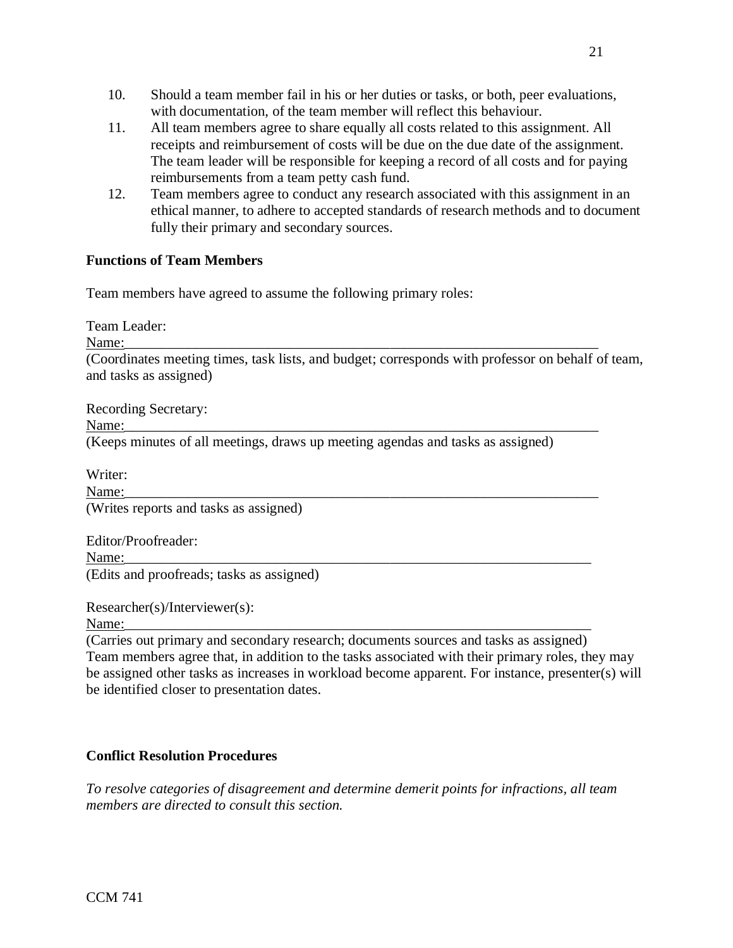- 10. Should a team member fail in his or her duties or tasks, or both, peer evaluations, with documentation, of the team member will reflect this behaviour.
- 11. All team members agree to share equally all costs related to this assignment. All receipts and reimbursement of costs will be due on the due date of the assignment. The team leader will be responsible for keeping a record of all costs and for paying reimbursements from a team petty cash fund.
- 12. Team members agree to conduct any research associated with this assignment in an ethical manner, to adhere to accepted standards of research methods and to document fully their primary and secondary sources.

## **Functions of Team Members**

Team members have agreed to assume the following primary roles:

Team Leader:

Name:\_\_\_\_\_\_\_\_\_\_\_\_\_\_\_\_\_\_\_\_\_\_\_\_\_\_\_\_\_\_\_\_\_\_\_\_\_\_\_\_\_\_\_\_\_\_\_\_\_\_\_\_\_\_\_\_\_\_\_\_\_\_\_\_\_\_

(Coordinates meeting times, task lists, and budget; corresponds with professor on behalf of team, and tasks as assigned)

Recording Secretary: Name:\_\_\_\_\_\_\_\_\_\_\_\_\_\_\_\_\_\_\_\_\_\_\_\_\_\_\_\_\_\_\_\_\_\_\_\_\_\_\_\_\_\_\_\_\_\_\_\_\_\_\_\_\_\_\_\_\_\_\_\_\_\_\_\_\_\_ (Keeps minutes of all meetings, draws up meeting agendas and tasks as assigned)

Writer: Name:\_\_\_\_\_\_\_\_\_\_\_\_\_\_\_\_\_\_\_\_\_\_\_\_\_\_\_\_\_\_\_\_\_\_\_\_\_\_\_\_\_\_\_\_\_\_\_\_\_\_\_\_\_\_\_\_\_\_\_\_\_\_\_\_\_\_ (Writes reports and tasks as assigned)

Editor/Proofreader: Name:\_\_\_\_\_\_\_\_\_\_\_\_\_\_\_\_\_\_\_\_\_\_\_\_\_\_\_\_\_\_\_\_\_\_\_\_\_\_\_\_\_\_\_\_\_\_\_\_\_\_\_\_\_\_\_\_\_\_\_\_\_\_\_\_\_ (Edits and proofreads; tasks as assigned)

Researcher(s)/Interviewer(s):

Name:\_\_\_\_\_\_\_\_\_\_\_\_\_\_\_\_\_\_\_\_\_\_\_\_\_\_\_\_\_\_\_\_\_\_\_\_\_\_\_\_\_\_\_\_\_\_\_\_\_\_\_\_\_\_\_\_\_\_\_\_\_\_\_\_\_

(Carries out primary and secondary research; documents sources and tasks as assigned) Team members agree that, in addition to the tasks associated with their primary roles, they may be assigned other tasks as increases in workload become apparent. For instance, presenter(s) will be identified closer to presentation dates.

## **Conflict Resolution Procedures**

*To resolve categories of disagreement and determine demerit points for infractions, all team members are directed to consult this section.*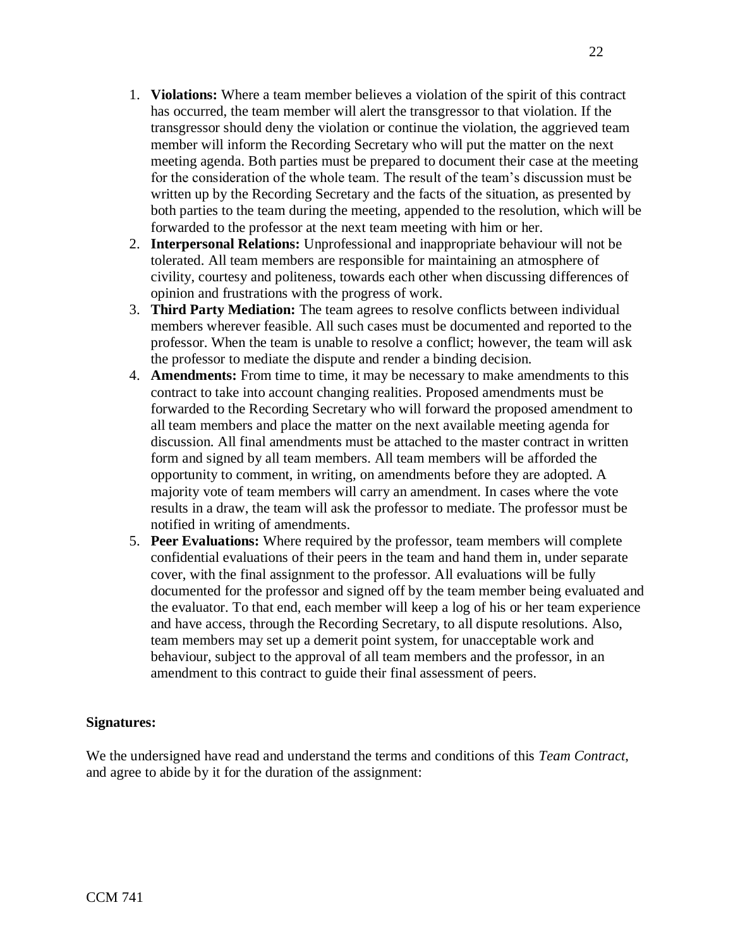- 1. **Violations:** Where a team member believes a violation of the spirit of this contract has occurred, the team member will alert the transgressor to that violation. If the transgressor should deny the violation or continue the violation, the aggrieved team member will inform the Recording Secretary who will put the matter on the next meeting agenda. Both parties must be prepared to document their case at the meeting for the consideration of the whole team. The result of the team's discussion must be written up by the Recording Secretary and the facts of the situation, as presented by both parties to the team during the meeting, appended to the resolution, which will be forwarded to the professor at the next team meeting with him or her.
- 2. **Interpersonal Relations:** Unprofessional and inappropriate behaviour will not be tolerated. All team members are responsible for maintaining an atmosphere of civility, courtesy and politeness, towards each other when discussing differences of opinion and frustrations with the progress of work.
- 3. **Third Party Mediation:** The team agrees to resolve conflicts between individual members wherever feasible. All such cases must be documented and reported to the professor. When the team is unable to resolve a conflict; however, the team will ask the professor to mediate the dispute and render a binding decision.
- 4. **Amendments:** From time to time, it may be necessary to make amendments to this contract to take into account changing realities. Proposed amendments must be forwarded to the Recording Secretary who will forward the proposed amendment to all team members and place the matter on the next available meeting agenda for discussion. All final amendments must be attached to the master contract in written form and signed by all team members. All team members will be afforded the opportunity to comment, in writing, on amendments before they are adopted. A majority vote of team members will carry an amendment. In cases where the vote results in a draw, the team will ask the professor to mediate. The professor must be notified in writing of amendments.
- 5. **Peer Evaluations:** Where required by the professor, team members will complete confidential evaluations of their peers in the team and hand them in, under separate cover, with the final assignment to the professor. All evaluations will be fully documented for the professor and signed off by the team member being evaluated and the evaluator. To that end, each member will keep a log of his or her team experience and have access, through the Recording Secretary, to all dispute resolutions. Also, team members may set up a demerit point system, for unacceptable work and behaviour, subject to the approval of all team members and the professor, in an amendment to this contract to guide their final assessment of peers.

## **Signatures:**

We the undersigned have read and understand the terms and conditions of this *Team Contract*, and agree to abide by it for the duration of the assignment: